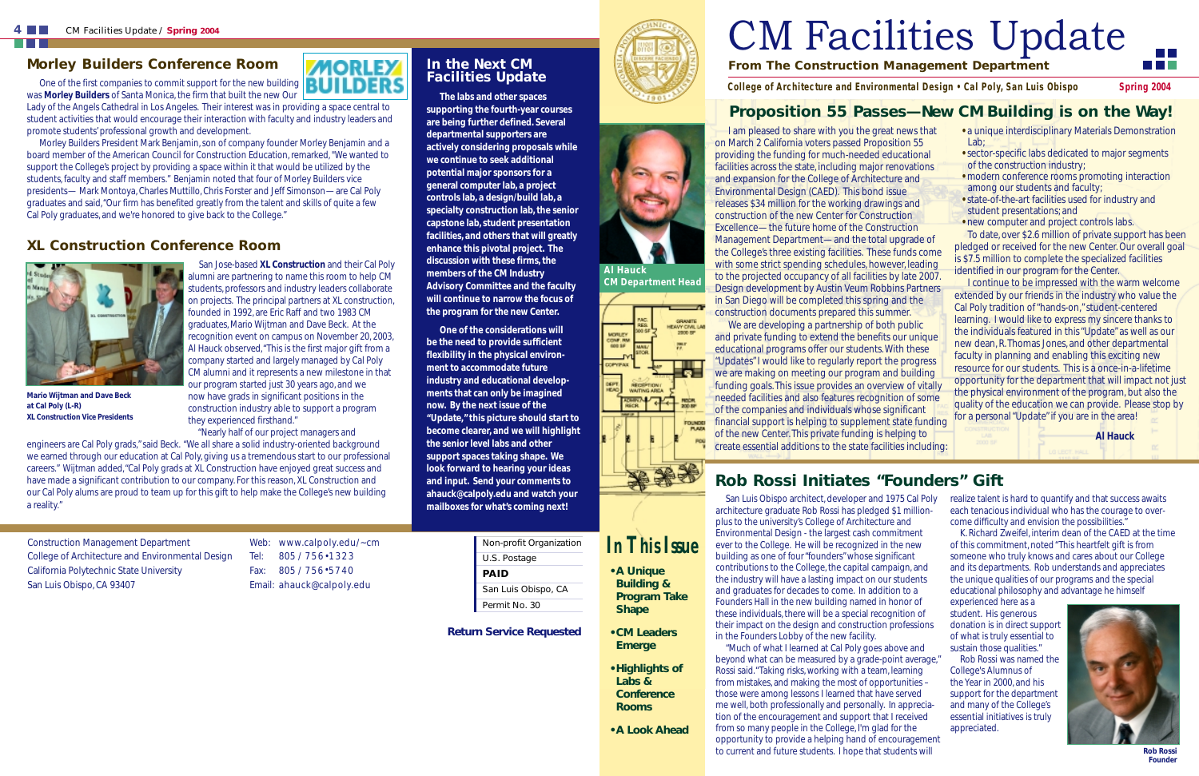#### *Morley Builders Conference Room*

**MORLEY** One of the first companies to commit support for the new building  $\begin{array}{|c|c|c|}\n\hline\n\end{array}$ was **Morley Builders** of Santa Monica, the firm that built the new Our

Lady of the Angels Cathedral in Los Angeles. Their interest was in providing a space central to student activities that would encourage their interaction with faculty and industry leaders and promote students' professional growth and development.

Morley Builders President Mark Benjamin, son of company founder Morley Benjamin and a board member of the American Council for Construction Education, remarked, "We wanted to support the College's project by providing a space within it that would be utilized by the students, faculty and staff members." Benjamin noted that four of Morley Builders vice presidents— Mark Montoya, Charles Muttillo, Chris Forster and Jeff Simonson—are Cal Poly graduates and said,"Our firm has benefited greatly from the talent and skills of quite a few Cal Poly graduates, and we're honored to give back to the College."

#### *XL Construction Conference Room*



San Jose-based **XL Construction** and their Cal Poly alumni are partnering to name this room to help CM students, professors and industry leaders collaborate on projects. The principal partners at XL construction, founded in 1992, are Eric Raff and two 1983 CM graduates, Mario Wijtman and Dave Beck. At the recognition event on campus on November 20, 2003, Al Hauck observed,"This is the first major gift from a company started and largely managed by Cal Poly CM alumni and it represents a new milestone in that our program started just 30 years ago, and we **Mario Wijtman and Dave Beck** now have grads in significant positions in the construction industry able to support a program *XL Construction Vice Presidents* they experienced firsthand."

**at Cal Poly (L-R)** 

"Nearly half of our project managers and

### **Rob Rossi Initiates "Founders" Gift**

# **From The Construction Management Department**  CM Facilities Update

*College of Architecture and Environmental Design • Cal Poly, San Luis Obispo* Spring 2004

## *In This Issue*

- **A Unique Building & Program Take Shape**
- **CM Leaders Emerge**
- **Highlights of Labs & Conference Rooms**

**• A Look Ahead** 

I am pleased to share with you the great news that on March 2 California voters passed Proposition 55 providing the funding for much-needed educational facilities across the state, including major renovations and expansion for the College of Architecture and Environmental Design (CAED). This bond issue releases \$34 million for the working drawings and construction of the new Center for Construction Excellence—the future home of the Construction Management Department—and the total upgrade of the College's three existing facilities. These funds come with some strict spending schedules, however, leading to the projected occupancy of all facilities by late 2007. Design development by Austin Veum Robbins Partners in San Diego will be completed this spring and the construction documents prepared this summer. We are developing a partnership of both public and private funding to extend the benefits our unique educational programs offer our students. With these "Updates" I would like to regularly report the progress we are making on meeting our program and building funding goals. This issue provides an overview of vitally needed facilities and also features recognition of some of the companies and individuals whose significant financial support is helping to supplement state funding of the new Center. This private funding is helping to create essential additions to the state facilities including: Lab; **•** sector-specific labs dedicated to major segments of the construction industry; **•** modern conference rooms promoting interaction among our students and faculty; **•** state-of-the-art facilities used for industry and student presentations; and **•** new computer and project controls labs. To date, over \$2.6 million of private support has been pledged or received for the new Center. Our overall goal is \$7.5 million to complete the specialized facilities identified in our program for the Center. I continue to be impressed with the warm welcome extended by our friends in the industry who value the Cal Poly tradition of "hands-on," student-centered learning. I would like to express my sincere thanks to the individuals featured in this "Update" as well as our new dean, R. Thomas Jones, and other departmental faculty in planning and enabling this exciting new resource for our students. This is a once-in-a-lifetime opportunity for the department that will impact not just the physical environment of the program, but also the quality of the education we can provide. Please stop by for a personal "Update" if you are in the area! **Al Hauck** 

- a unique interdisciplinary Materials Demonstration
- 
- 
- 
- 

engineers are Cal Poly grads," said Beck. "We all share a solid industry-oriented background we earned through our education at Cal Poly, giving us a tremendous start to our professional careers." Wijtman added,"Cal Poly grads at XL Construction have enjoyed great success and have made a significant contribution to our company. For this reason, XL Construction and our Cal Poly alums are proud to team up for this gift to help make the College's new building a reality." **mailboxes for what's coming next!** 

## **Proposition 55 Passes—New CM Building is on the Way!**



*CM Department Head* 



#### *In the Next CM Facilities Update*

**ILDERS** 

**The labs and other spaces supporting the fourth-year courses are being further defined. Several departmental supporters are actively considering proposals while we continue to seek additional potential major sponsors for a general computer lab, a project controls lab, a design/build lab, a specialty construction lab, the senior capstone lab, student presentation facilities, and others that will greatly enhance this pivotal project. The discussion with these firms, the members of the CM Industry Advisory Committee and the faculty will continue to narrow the focus of the program for the new Center.** 

**One of the considerations will be the need to provide sufficient flexibility in the physical environment to accommodate future industry and educational developments that can only be imagined now. By the next issue of the "Update," this picture should start to become clearer, and we will highlight the senior level labs and other support spaces taking shape. We look forward to hearing your ideas and input. Send your comments to ahauck@calpoly.edu and watch your** 

Construction Management Department College of Architecture and Environmental Design California Polytechnic State University San Luis Obispo, CA 93407

Web: www.calpoly.edu/~cm Tel: 805 / 756 • 1323 Fax: 805 / 756 • 5740 Email: ahauck@calpoly.edu

| Non-profit Organization |
|-------------------------|
| U.S. Postage            |
| PAID                    |
| San Luis Obispo, CA     |
| Permit No. 30           |

**Return Service Requested** 



San Luis Obispo architect, developer and 1975 Cal Poly architecture graduate Rob Rossi has pledged \$1 millionplus to the university's College of Architecture and Environmental Design - the largest cash commitment ever to the College. He will be recognized in the new building as one of four "founders" whose significant contributions to the College, the capital campaign, and the industry will have a lasting impact on our students and graduates for decades to come. In addition to a Founders Hall in the new building named in honor of these individuals, there will be a special recognition of their impact on the design and construction professions in the Founders Lobby of the new facility.

"Much of what I learned at Cal Poly goes above and beyond what can be measured by a grade-point average," Rossi said."Taking risks, working with a team, learning from mistakes, and making the most of opportunities – those were among lessons I learned that have served me well, both professionally and personally. In appreciation of the encouragement and support that I received from so many people in the College, I'm glad for the opportunity to provide a helping hand of encouragement to current and future students. I hope that students will

realize talent is hard to quantify and that success awaits each tenacious individual who has the courage to overcome difficulty and envision the possibilities."

K. Richard Zweifel, interim dean of the CAED at the time of this commitment, noted "This heartfelt gift is from someone who truly knows and cares about our College and its departments. Rob understands and appreciates the unique qualities of our programs and the special educational philosophy and advantage he himself

experienced here as a student. His generous donation is in direct support of what is truly essential to sustain those qualities."

Rob Rossi was named the College's Alumnus of the Year in 2000, and his support for the department and many of the College's essential initiatives is truly appreciated.



**Rob Rossi**  *Founder*